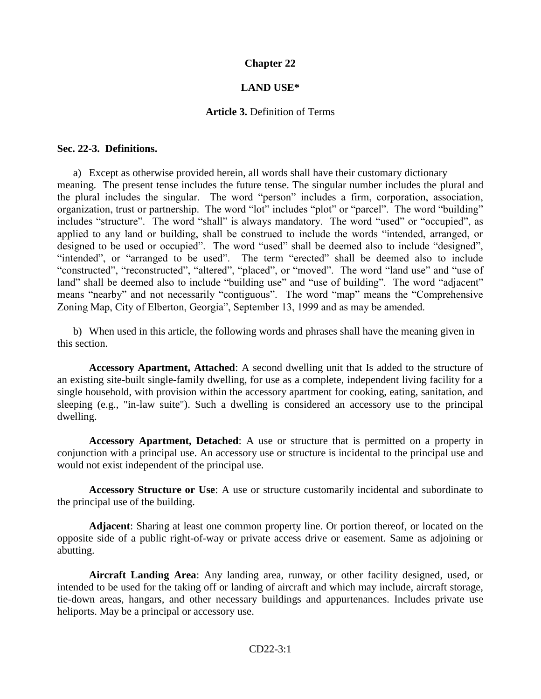## **Chapter 22**

#### **LAND USE\***

#### **Article 3.** Definition of Terms

#### **Sec. 22-3. Definitions.**

a) Except as otherwise provided herein, all words shall have their customary dictionary meaning. The present tense includes the future tense. The singular number includes the plural and the plural includes the singular. The word "person" includes a firm, corporation, association, organization, trust or partnership. The word "lot" includes "plot" or "parcel". The word "building" includes "structure". The word "shall" is always mandatory. The word "used" or "occupied", as applied to any land or building, shall be construed to include the words "intended, arranged, or designed to be used or occupied". The word "used" shall be deemed also to include "designed", "intended", or "arranged to be used". The term "erected" shall be deemed also to include "constructed", "reconstructed", "altered", "placed", or "moved". The word "land use" and "use of land" shall be deemed also to include "building use" and "use of building". The word "adjacent" means "nearby" and not necessarily "contiguous". The word "map" means the "Comprehensive Zoning Map, City of Elberton, Georgia", September 13, 1999 and as may be amended.

b) When used in this article, the following words and phrases shall have the meaning given in this section.

**Accessory Apartment, Attached**: A second dwelling unit that Is added to the structure of an existing site-built single-family dwelling, for use as a complete, independent living facility for a single household, with provision within the accessory apartment for cooking, eating, sanitation, and sleeping (e.g., "in-law suite"). Such a dwelling is considered an accessory use to the principal dwelling.

**Accessory Apartment, Detached**: A use or structure that is permitted on a property in conjunction with a principal use. An accessory use or structure is incidental to the principal use and would not exist independent of the principal use.

**Accessory Structure or Use**: A use or structure customarily incidental and subordinate to the principal use of the building.

**Adjacent**: Sharing at least one common property line. Or portion thereof, or located on the opposite side of a public right-of-way or private access drive or easement. Same as adjoining or abutting.

**Aircraft Landing Area**: Any landing area, runway, or other facility designed, used, or intended to be used for the taking off or landing of aircraft and which may include, aircraft storage, tie-down areas, hangars, and other necessary buildings and appurtenances. Includes private use heliports. May be a principal or accessory use.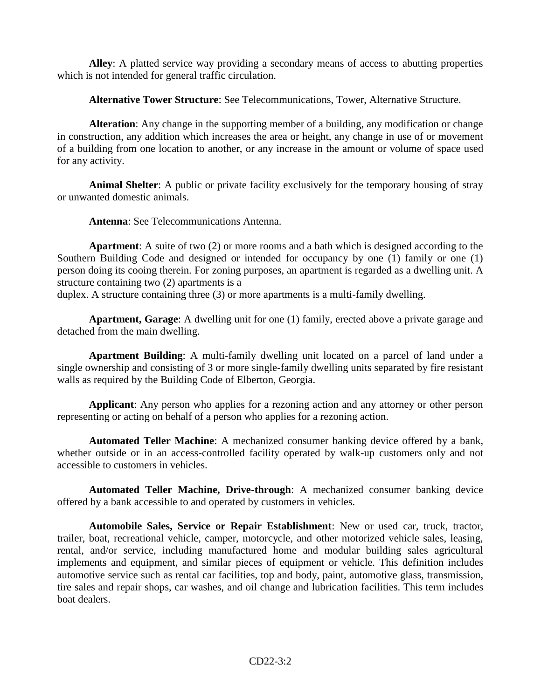**Alley**: A platted service way providing a secondary means of access to abutting properties which is not intended for general traffic circulation.

**Alternative Tower Structure**: See Telecommunications, Tower, Alternative Structure.

**Alteration**: Any change in the supporting member of a building, any modification or change in construction, any addition which increases the area or height, any change in use of or movement of a building from one location to another, or any increase in the amount or volume of space used for any activity.

**Animal Shelter**: A public or private facility exclusively for the temporary housing of stray or unwanted domestic animals.

**Antenna**: See Telecommunications Antenna.

**Apartment**: A suite of two (2) or more rooms and a bath which is designed according to the Southern Building Code and designed or intended for occupancy by one (1) family or one (1) person doing its cooing therein. For zoning purposes, an apartment is regarded as a dwelling unit. A structure containing two (2) apartments is a

duplex. A structure containing three (3) or more apartments is a multi-family dwelling.

**Apartment, Garage**: A dwelling unit for one (1) family, erected above a private garage and detached from the main dwelling.

**Apartment Building**: A multi-family dwelling unit located on a parcel of land under a single ownership and consisting of 3 or more single-family dwelling units separated by fire resistant walls as required by the Building Code of Elberton, Georgia.

**Applicant**: Any person who applies for a rezoning action and any attorney or other person representing or acting on behalf of a person who applies for a rezoning action.

**Automated Teller Machine**: A mechanized consumer banking device offered by a bank, whether outside or in an access-controlled facility operated by walk-up customers only and not accessible to customers in vehicles.

**Automated Teller Machine, Drive-through**: A mechanized consumer banking device offered by a bank accessible to and operated by customers in vehicles.

**Automobile Sales, Service or Repair Establishment**: New or used car, truck, tractor, trailer, boat, recreational vehicle, camper, motorcycle, and other motorized vehicle sales, leasing, rental, and/or service, including manufactured home and modular building sales agricultural implements and equipment, and similar pieces of equipment or vehicle. This definition includes automotive service such as rental car facilities, top and body, paint, automotive glass, transmission, tire sales and repair shops, car washes, and oil change and lubrication facilities. This term includes boat dealers.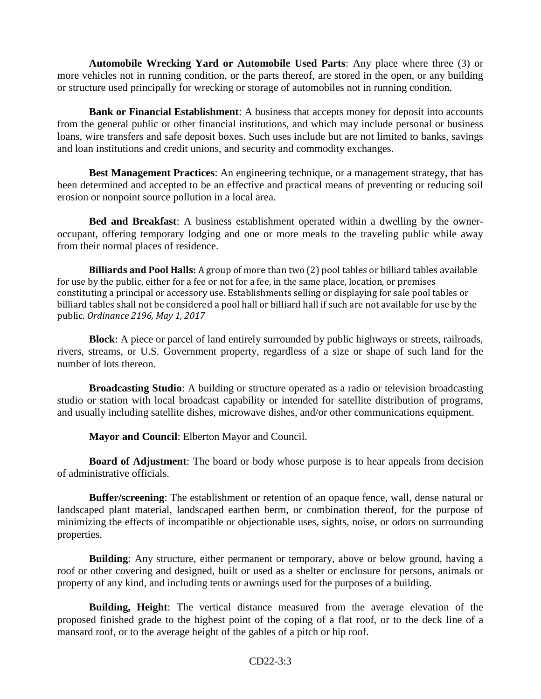**Automobile Wrecking Yard or Automobile Used Parts**: Any place where three (3) or more vehicles not in running condition, or the parts thereof, are stored in the open, or any building or structure used principally for wrecking or storage of automobiles not in running condition.

**Bank or Financial Establishment**: A business that accepts money for deposit into accounts from the general public or other financial institutions, and which may include personal or business loans, wire transfers and safe deposit boxes. Such uses include but are not limited to banks, savings and loan institutions and credit unions, and security and commodity exchanges.

**Best Management Practices**: An engineering technique, or a management strategy, that has been determined and accepted to be an effective and practical means of preventing or reducing soil erosion or nonpoint source pollution in a local area.

**Bed and Breakfast**: A business establishment operated within a dwelling by the owneroccupant, offering temporary lodging and one or more meals to the traveling public while away from their normal places of residence.

**Billiards and Pool Halls:** A group of more than two (2) pool tables or billiard tables available for use by the public, either for a fee or not for a fee, in the same place, location, or premises constituting a principal or accessory use. Establishments selling or displaying for sale pool tables or billiard tables shall not be considered a pool hall or billiard hall if such are not available for use by the public. *Ordinance 2196, May 1, 2017*

**Block**: A piece or parcel of land entirely surrounded by public highways or streets, railroads, rivers, streams, or U.S. Government property, regardless of a size or shape of such land for the number of lots thereon.

**Broadcasting Studio**: A building or structure operated as a radio or television broadcasting studio or station with local broadcast capability or intended for satellite distribution of programs, and usually including satellite dishes, microwave dishes, and/or other communications equipment.

**Mayor and Council**: Elberton Mayor and Council.

**Board of Adjustment**: The board or body whose purpose is to hear appeals from decision of administrative officials.

**Buffer/screening**: The establishment or retention of an opaque fence, wall, dense natural or landscaped plant material, landscaped earthen berm, or combination thereof, for the purpose of minimizing the effects of incompatible or objectionable uses, sights, noise, or odors on surrounding properties.

**Building**: Any structure, either permanent or temporary, above or below ground, having a roof or other covering and designed, built or used as a shelter or enclosure for persons, animals or property of any kind, and including tents or awnings used for the purposes of a building.

**Building, Height**: The vertical distance measured from the average elevation of the proposed finished grade to the highest point of the coping of a flat roof, or to the deck line of a mansard roof, or to the average height of the gables of a pitch or hip roof.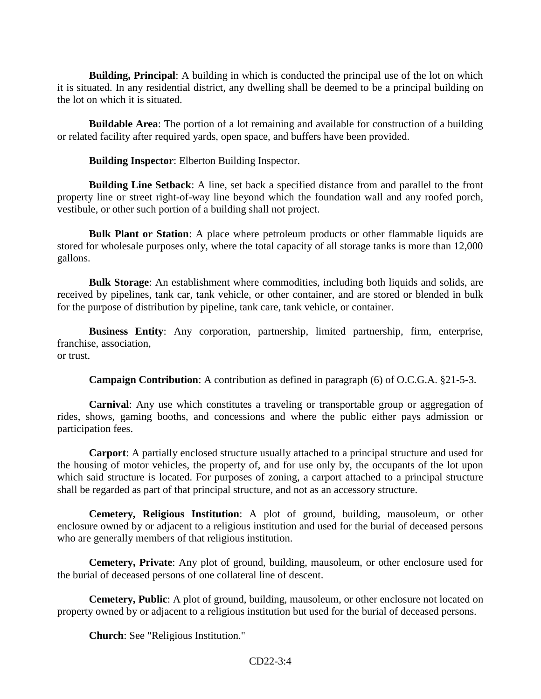**Building, Principal**: A building in which is conducted the principal use of the lot on which it is situated. In any residential district, any dwelling shall be deemed to be a principal building on the lot on which it is situated.

**Buildable Area**: The portion of a lot remaining and available for construction of a building or related facility after required yards, open space, and buffers have been provided.

**Building Inspector**: Elberton Building Inspector.

**Building Line Setback**: A line, set back a specified distance from and parallel to the front property line or street right-of-way line beyond which the foundation wall and any roofed porch, vestibule, or other such portion of a building shall not project.

**Bulk Plant or Station:** A place where petroleum products or other flammable liquids are stored for wholesale purposes only, where the total capacity of all storage tanks is more than 12,000 gallons.

**Bulk Storage**: An establishment where commodities, including both liquids and solids, are received by pipelines, tank car, tank vehicle, or other container, and are stored or blended in bulk for the purpose of distribution by pipeline, tank care, tank vehicle, or container.

**Business Entity**: Any corporation, partnership, limited partnership, firm, enterprise, franchise, association, or trust.

**Campaign Contribution**: A contribution as defined in paragraph (6) of O.C.G.A. §21-5-3.

**Carnival**: Any use which constitutes a traveling or transportable group or aggregation of rides, shows, gaming booths, and concessions and where the public either pays admission or participation fees.

**Carport**: A partially enclosed structure usually attached to a principal structure and used for the housing of motor vehicles, the property of, and for use only by, the occupants of the lot upon which said structure is located. For purposes of zoning, a carport attached to a principal structure shall be regarded as part of that principal structure, and not as an accessory structure.

**Cemetery, Religious Institution**: A plot of ground, building, mausoleum, or other enclosure owned by or adjacent to a religious institution and used for the burial of deceased persons who are generally members of that religious institution.

**Cemetery, Private**: Any plot of ground, building, mausoleum, or other enclosure used for the burial of deceased persons of one collateral line of descent.

**Cemetery, Public**: A plot of ground, building, mausoleum, or other enclosure not located on property owned by or adjacent to a religious institution but used for the burial of deceased persons.

**Church**: See "Religious Institution."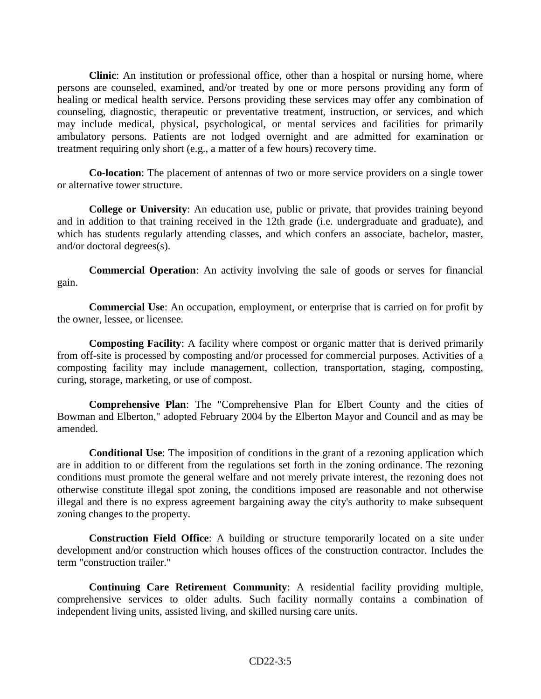**Clinic**: An institution or professional office, other than a hospital or nursing home, where persons are counseled, examined, and/or treated by one or more persons providing any form of healing or medical health service. Persons providing these services may offer any combination of counseling, diagnostic, therapeutic or preventative treatment, instruction, or services, and which may include medical, physical, psychological, or mental services and facilities for primarily ambulatory persons. Patients are not lodged overnight and are admitted for examination or treatment requiring only short (e.g., a matter of a few hours) recovery time.

**Co-location**: The placement of antennas of two or more service providers on a single tower or alternative tower structure.

**College or University**: An education use, public or private, that provides training beyond and in addition to that training received in the 12th grade (i.e. undergraduate and graduate), and which has students regularly attending classes, and which confers an associate, bachelor, master, and/or doctoral degrees(s).

**Commercial Operation**: An activity involving the sale of goods or serves for financial gain.

**Commercial Use**: An occupation, employment, or enterprise that is carried on for profit by the owner, lessee, or licensee.

**Composting Facility**: A facility where compost or organic matter that is derived primarily from off-site is processed by composting and/or processed for commercial purposes. Activities of a composting facility may include management, collection, transportation, staging, composting, curing, storage, marketing, or use of compost.

**Comprehensive Plan**: The "Comprehensive Plan for Elbert County and the cities of Bowman and Elberton," adopted February 2004 by the Elberton Mayor and Council and as may be amended.

**Conditional Use**: The imposition of conditions in the grant of a rezoning application which are in addition to or different from the regulations set forth in the zoning ordinance. The rezoning conditions must promote the general welfare and not merely private interest, the rezoning does not otherwise constitute illegal spot zoning, the conditions imposed are reasonable and not otherwise illegal and there is no express agreement bargaining away the city's authority to make subsequent zoning changes to the property.

**Construction Field Office**: A building or structure temporarily located on a site under development and/or construction which houses offices of the construction contractor. Includes the term "construction trailer."

**Continuing Care Retirement Community**: A residential facility providing multiple, comprehensive services to older adults. Such facility normally contains a combination of independent living units, assisted living, and skilled nursing care units.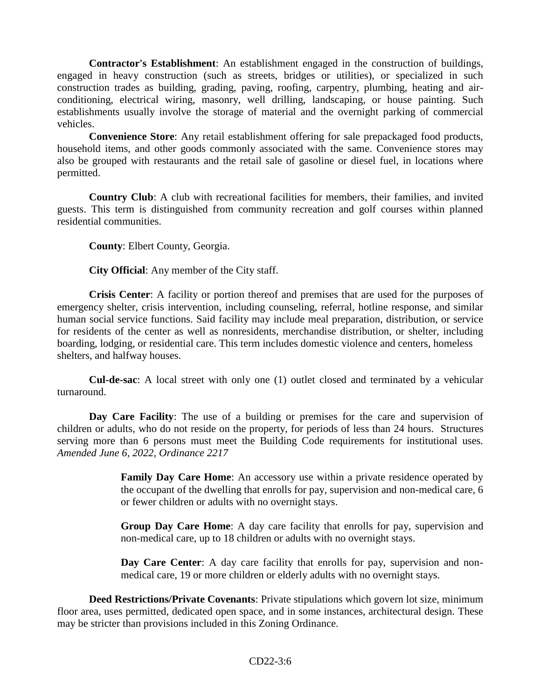**Contractor's Establishment**: An establishment engaged in the construction of buildings, engaged in heavy construction (such as streets, bridges or utilities), or specialized in such construction trades as building, grading, paving, roofing, carpentry, plumbing, heating and airconditioning, electrical wiring, masonry, well drilling, landscaping, or house painting. Such establishments usually involve the storage of material and the overnight parking of commercial vehicles.

**Convenience Store**: Any retail establishment offering for sale prepackaged food products, household items, and other goods commonly associated with the same. Convenience stores may also be grouped with restaurants and the retail sale of gasoline or diesel fuel, in locations where permitted.

**Country Club**: A club with recreational facilities for members, their families, and invited guests. This term is distinguished from community recreation and golf courses within planned residential communities.

**County**: Elbert County, Georgia.

**City Official**: Any member of the City staff.

**Crisis Center**: A facility or portion thereof and premises that are used for the purposes of emergency shelter, crisis intervention, including counseling, referral, hotline response, and similar human social service functions. Said facility may include meal preparation, distribution, or service for residents of the center as well as nonresidents, merchandise distribution, or shelter, including boarding, lodging, or residential care. This term includes domestic violence and centers, homeless shelters, and halfway houses.

**Cul-de-sac**: A local street with only one (1) outlet closed and terminated by a vehicular turnaround.

**Day Care Facility**: The use of a building or premises for the care and supervision of children or adults, who do not reside on the property, for periods of less than 24 hours. Structures serving more than 6 persons must meet the Building Code requirements for institutional uses. *Amended June 6, 2022, Ordinance 2217*

> **Family Day Care Home**: An accessory use within a private residence operated by the occupant of the dwelling that enrolls for pay, supervision and non-medical care, 6 or fewer children or adults with no overnight stays.

> **Group Day Care Home**: A day care facility that enrolls for pay, supervision and non-medical care, up to 18 children or adults with no overnight stays.

> **Day Care Center**: A day care facility that enrolls for pay, supervision and nonmedical care, 19 or more children or elderly adults with no overnight stays.

**Deed Restrictions/Private Covenants**: Private stipulations which govern lot size, minimum floor area, uses permitted, dedicated open space, and in some instances, architectural design. These may be stricter than provisions included in this Zoning Ordinance.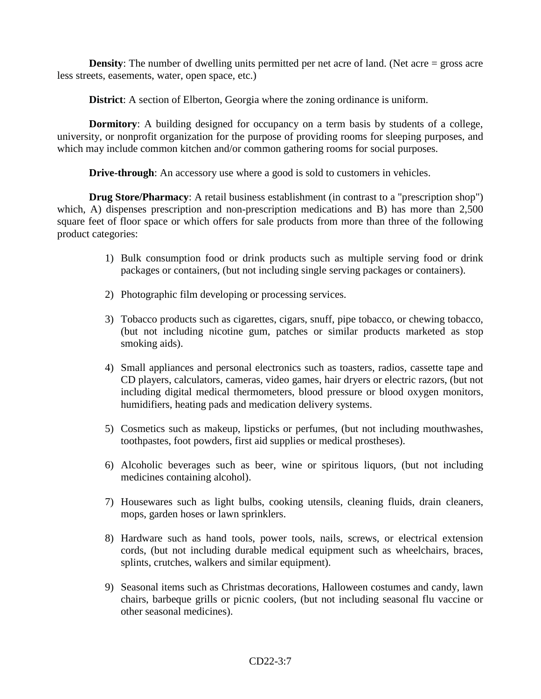**Density**: The number of dwelling units permitted per net acre of land. (Net acre = gross acre less streets, easements, water, open space, etc.)

**District**: A section of Elberton, Georgia where the zoning ordinance is uniform.

**Dormitory:** A building designed for occupancy on a term basis by students of a college, university, or nonprofit organization for the purpose of providing rooms for sleeping purposes, and which may include common kitchen and/or common gathering rooms for social purposes.

**Drive-through:** An accessory use where a good is sold to customers in vehicles.

**Drug Store/Pharmacy**: A retail business establishment (in contrast to a "prescription shop") which, A) dispenses prescription and non-prescription medications and B) has more than 2,500 square feet of floor space or which offers for sale products from more than three of the following product categories:

- 1) Bulk consumption food or drink products such as multiple serving food or drink packages or containers, (but not including single serving packages or containers).
- 2) Photographic film developing or processing services.
- 3) Tobacco products such as cigarettes, cigars, snuff, pipe tobacco, or chewing tobacco, (but not including nicotine gum, patches or similar products marketed as stop smoking aids).
- 4) Small appliances and personal electronics such as toasters, radios, cassette tape and CD players, calculators, cameras, video games, hair dryers or electric razors, (but not including digital medical thermometers, blood pressure or blood oxygen monitors, humidifiers, heating pads and medication delivery systems.
- 5) Cosmetics such as makeup, lipsticks or perfumes, (but not including mouthwashes, toothpastes, foot powders, first aid supplies or medical prostheses).
- 6) Alcoholic beverages such as beer, wine or spiritous liquors, (but not including medicines containing alcohol).
- 7) Housewares such as light bulbs, cooking utensils, cleaning fluids, drain cleaners, mops, garden hoses or lawn sprinklers.
- 8) Hardware such as hand tools, power tools, nails, screws, or electrical extension cords, (but not including durable medical equipment such as wheelchairs, braces, splints, crutches, walkers and similar equipment).
- 9) Seasonal items such as Christmas decorations, Halloween costumes and candy, lawn chairs, barbeque grills or picnic coolers, (but not including seasonal flu vaccine or other seasonal medicines).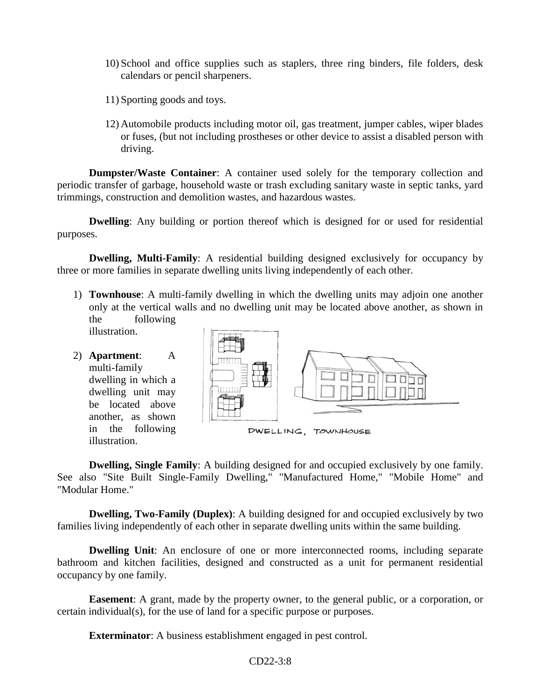- 10) School and office supplies such as staplers, three ring binders, file folders, desk calendars or pencil sharpeners.
- 11) Sporting goods and toys.
- 12) Automobile products including motor oil, gas treatment, jumper cables, wiper blades or fuses, (but not including prostheses or other device to assist a disabled person with driving.

**Dumpster/Waste Container**: A container used solely for the temporary collection and periodic transfer of garbage, household waste or trash excluding sanitary waste in septic tanks, yard trimmings, construction and demolition wastes, and hazardous wastes.

**Dwelling:** Any building or portion thereof which is designed for or used for residential purposes.

**Dwelling, Multi-Family:** A residential building designed exclusively for occupancy by three or more families in separate dwelling units living independently of each other.

1) **Townhouse**: A multi-family dwelling in which the dwelling units may adjoin one another only at the vertical walls and no dwelling unit may be located above another, as shown in the following

illustration.

2) **Apartment**: A multi-family dwelling in which a dwelling unit may be located above another, as shown in the following illustration.



**Dwelling, Single Family**: A building designed for and occupied exclusively by one family. See also "Site Built Single-Family Dwelling," "Manufactured Home," "Mobile Home" and "Modular Home."

**Dwelling, Two-Family (Duplex):** A building designed for and occupied exclusively by two families living independently of each other in separate dwelling units within the same building.

**Dwelling Unit:** An enclosure of one or more interconnected rooms, including separate bathroom and kitchen facilities, designed and constructed as a unit for permanent residential occupancy by one family.

**Easement**: A grant, made by the property owner, to the general public, or a corporation, or certain individual(s), for the use of land for a specific purpose or purposes.

**Exterminator**: A business establishment engaged in pest control.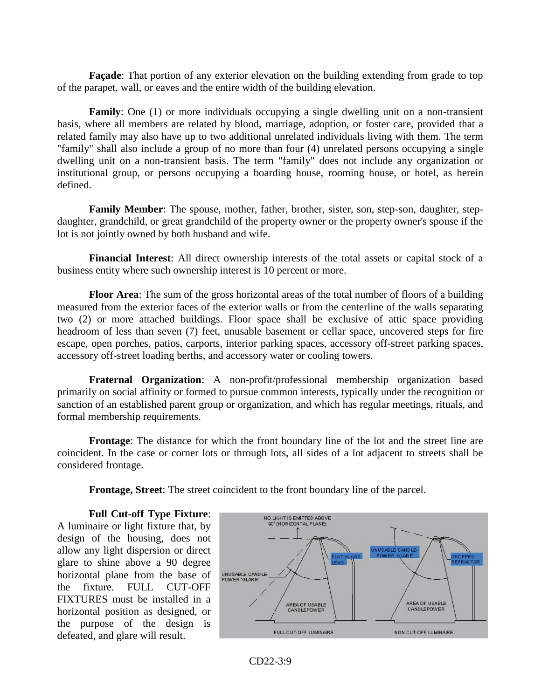**Façade**: That portion of any exterior elevation on the building extending from grade to top of the parapet, wall, or eaves and the entire width of the building elevation.

**Family**: One (1) or more individuals occupying a single dwelling unit on a non-transient basis, where all members are related by blood, marriage, adoption, or foster care, provided that a related family may also have up to two additional unrelated individuals living with them. The term "family" shall also include a group of no more than four (4) unrelated persons occupying a single dwelling unit on a non-transient basis. The term "family" does not include any organization or institutional group, or persons occupying a boarding house, rooming house, or hotel, as herein defined.

**Family Member**: The spouse, mother, father, brother, sister, son, step-son, daughter, stepdaughter, grandchild, or great grandchild of the property owner or the property owner's spouse if the lot is not jointly owned by both husband and wife.

**Financial Interest**: All direct ownership interests of the total assets or capital stock of a business entity where such ownership interest is 10 percent or more.

**Floor Area**: The sum of the gross horizontal areas of the total number of floors of a building measured from the exterior faces of the exterior walls or from the centerline of the walls separating two (2) or more attached buildings. Floor space shall be exclusive of attic space providing headroom of less than seven (7) feet, unusable basement or cellar space, uncovered steps for fire escape, open porches, patios, carports, interior parking spaces, accessory off-street parking spaces, accessory off-street loading berths, and accessory water or cooling towers.

**Fraternal Organization**: A non-profit/professional membership organization based primarily on social affinity or formed to pursue common interests, typically under the recognition or sanction of an established parent group or organization, and which has regular meetings, rituals, and formal membership requirements.

**Frontage**: The distance for which the front boundary line of the lot and the street line are coincident. In the case or corner lots or through lots, all sides of a lot adjacent to streets shall be considered frontage.

**Frontage, Street**: The street coincident to the front boundary line of the parcel.

**Full Cut-off Type Fixture**: A luminaire or light fixture that, by design of the housing, does not allow any light dispersion or direct glare to shine above a 90 degree horizontal plane from the base of the fixture. FULL CUT-OFF FIXTURES must be installed in a horizontal position as designed, or the purpose of the design is defeated, and glare will result.

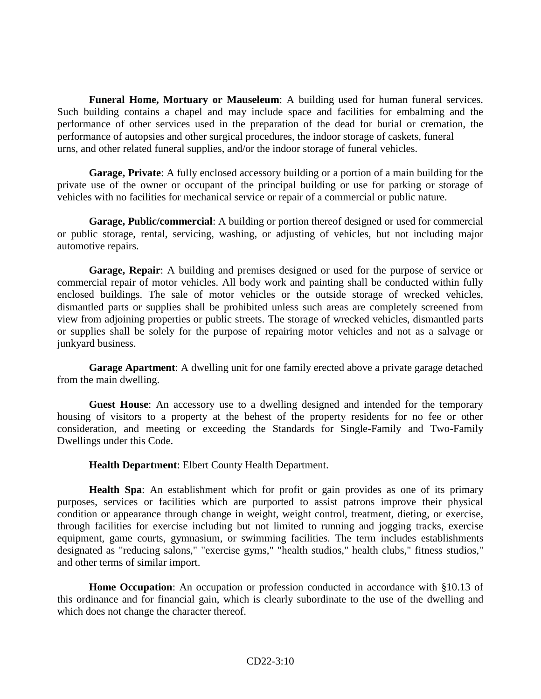**Funeral Home, Mortuary or Mauseleum**: A building used for human funeral services. Such building contains a chapel and may include space and facilities for embalming and the performance of other services used in the preparation of the dead for burial or cremation, the performance of autopsies and other surgical procedures, the indoor storage of caskets, funeral urns, and other related funeral supplies, and/or the indoor storage of funeral vehicles.

**Garage, Private**: A fully enclosed accessory building or a portion of a main building for the private use of the owner or occupant of the principal building or use for parking or storage of vehicles with no facilities for mechanical service or repair of a commercial or public nature.

**Garage, Public/commercial**: A building or portion thereof designed or used for commercial or public storage, rental, servicing, washing, or adjusting of vehicles, but not including major automotive repairs.

**Garage, Repair**: A building and premises designed or used for the purpose of service or commercial repair of motor vehicles. All body work and painting shall be conducted within fully enclosed buildings. The sale of motor vehicles or the outside storage of wrecked vehicles, dismantled parts or supplies shall be prohibited unless such areas are completely screened from view from adjoining properties or public streets. The storage of wrecked vehicles, dismantled parts or supplies shall be solely for the purpose of repairing motor vehicles and not as a salvage or junkyard business.

**Garage Apartment**: A dwelling unit for one family erected above a private garage detached from the main dwelling.

**Guest House**: An accessory use to a dwelling designed and intended for the temporary housing of visitors to a property at the behest of the property residents for no fee or other consideration, and meeting or exceeding the Standards for Single-Family and Two-Family Dwellings under this Code.

**Health Department**: Elbert County Health Department.

**Health Spa**: An establishment which for profit or gain provides as one of its primary purposes, services or facilities which are purported to assist patrons improve their physical condition or appearance through change in weight, weight control, treatment, dieting, or exercise, through facilities for exercise including but not limited to running and jogging tracks, exercise equipment, game courts, gymnasium, or swimming facilities. The term includes establishments designated as "reducing salons," "exercise gyms," "health studios," health clubs," fitness studios," and other terms of similar import.

**Home Occupation**: An occupation or profession conducted in accordance with §10.13 of this ordinance and for financial gain, which is clearly subordinate to the use of the dwelling and which does not change the character thereof.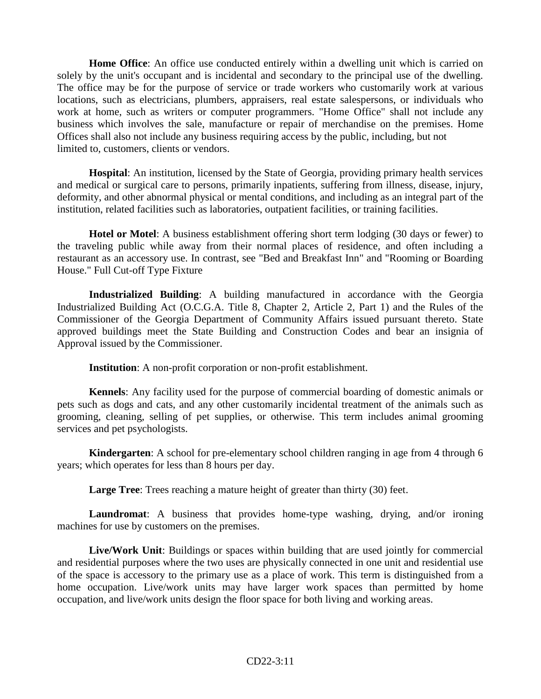**Home Office**: An office use conducted entirely within a dwelling unit which is carried on solely by the unit's occupant and is incidental and secondary to the principal use of the dwelling. The office may be for the purpose of service or trade workers who customarily work at various locations, such as electricians, plumbers, appraisers, real estate salespersons, or individuals who work at home, such as writers or computer programmers. "Home Office" shall not include any business which involves the sale, manufacture or repair of merchandise on the premises. Home Offices shall also not include any business requiring access by the public, including, but not limited to, customers, clients or vendors.

**Hospital**: An institution, licensed by the State of Georgia, providing primary health services and medical or surgical care to persons, primarily inpatients, suffering from illness, disease, injury, deformity, and other abnormal physical or mental conditions, and including as an integral part of the institution, related facilities such as laboratories, outpatient facilities, or training facilities.

**Hotel or Motel**: A business establishment offering short term lodging (30 days or fewer) to the traveling public while away from their normal places of residence, and often including a restaurant as an accessory use. In contrast, see "Bed and Breakfast Inn" and "Rooming or Boarding House." Full Cut-off Type Fixture

**Industrialized Building**: A building manufactured in accordance with the Georgia Industrialized Building Act (O.C.G.A. Title 8, Chapter 2, Article 2, Part 1) and the Rules of the Commissioner of the Georgia Department of Community Affairs issued pursuant thereto. State approved buildings meet the State Building and Construction Codes and bear an insignia of Approval issued by the Commissioner.

**Institution**: A non-profit corporation or non-profit establishment.

**Kennels**: Any facility used for the purpose of commercial boarding of domestic animals or pets such as dogs and cats, and any other customarily incidental treatment of the animals such as grooming, cleaning, selling of pet supplies, or otherwise. This term includes animal grooming services and pet psychologists.

**Kindergarten**: A school for pre-elementary school children ranging in age from 4 through 6 years; which operates for less than 8 hours per day.

**Large Tree**: Trees reaching a mature height of greater than thirty (30) feet.

**Laundromat**: A business that provides home-type washing, drying, and/or ironing machines for use by customers on the premises.

**Live/Work Unit**: Buildings or spaces within building that are used jointly for commercial and residential purposes where the two uses are physically connected in one unit and residential use of the space is accessory to the primary use as a place of work. This term is distinguished from a home occupation. Live/work units may have larger work spaces than permitted by home occupation, and live/work units design the floor space for both living and working areas.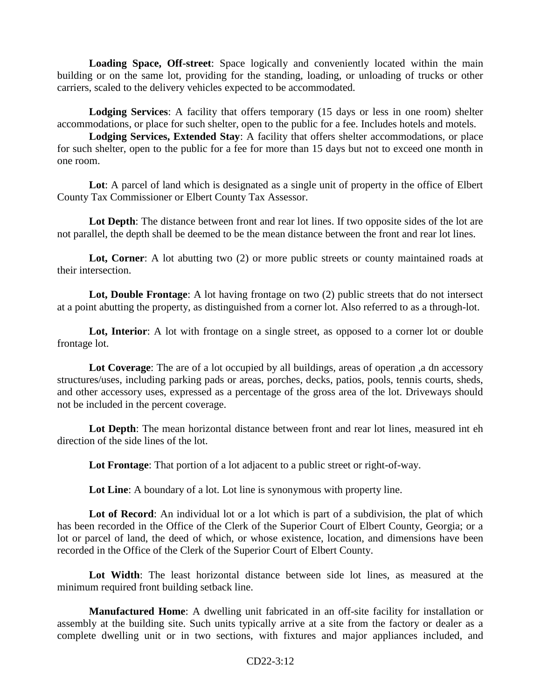**Loading Space, Off-street**: Space logically and conveniently located within the main building or on the same lot, providing for the standing, loading, or unloading of trucks or other carriers, scaled to the delivery vehicles expected to be accommodated.

**Lodging Services**: A facility that offers temporary (15 days or less in one room) shelter accommodations, or place for such shelter, open to the public for a fee. Includes hotels and motels.

**Lodging Services, Extended Stay**: A facility that offers shelter accommodations, or place for such shelter, open to the public for a fee for more than 15 days but not to exceed one month in one room.

Lot: A parcel of land which is designated as a single unit of property in the office of Elbert County Tax Commissioner or Elbert County Tax Assessor.

**Lot Depth**: The distance between front and rear lot lines. If two opposite sides of the lot are not parallel, the depth shall be deemed to be the mean distance between the front and rear lot lines.

Lot, Corner: A lot abutting two (2) or more public streets or county maintained roads at their intersection.

**Lot, Double Frontage**: A lot having frontage on two (2) public streets that do not intersect at a point abutting the property, as distinguished from a corner lot. Also referred to as a through-lot.

Lot, Interior: A lot with frontage on a single street, as opposed to a corner lot or double frontage lot.

**Lot Coverage**: The are of a lot occupied by all buildings, areas of operation ,a dn accessory structures/uses, including parking pads or areas, porches, decks, patios, pools, tennis courts, sheds, and other accessory uses, expressed as a percentage of the gross area of the lot. Driveways should not be included in the percent coverage.

**Lot Depth**: The mean horizontal distance between front and rear lot lines, measured int eh direction of the side lines of the lot.

**Lot Frontage**: That portion of a lot adjacent to a public street or right-of-way.

Lot Line: A boundary of a lot. Lot line is synonymous with property line.

Lot of Record: An individual lot or a lot which is part of a subdivision, the plat of which has been recorded in the Office of the Clerk of the Superior Court of Elbert County, Georgia; or a lot or parcel of land, the deed of which, or whose existence, location, and dimensions have been recorded in the Office of the Clerk of the Superior Court of Elbert County.

**Lot Width**: The least horizontal distance between side lot lines, as measured at the minimum required front building setback line.

**Manufactured Home**: A dwelling unit fabricated in an off-site facility for installation or assembly at the building site. Such units typically arrive at a site from the factory or dealer as a complete dwelling unit or in two sections, with fixtures and major appliances included, and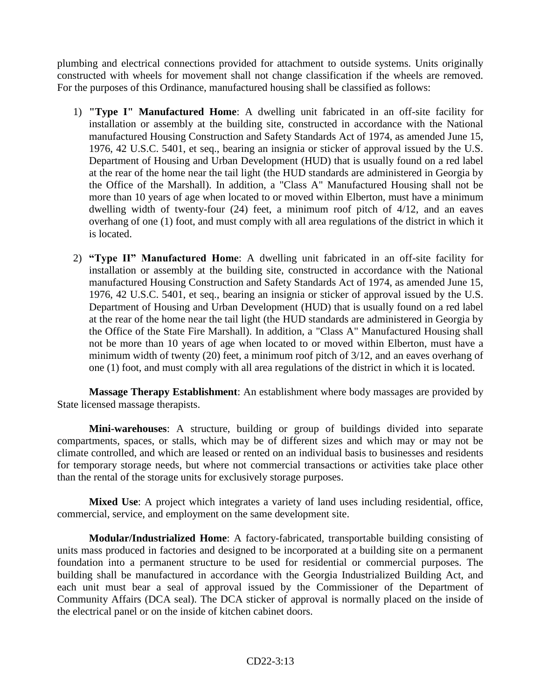plumbing and electrical connections provided for attachment to outside systems. Units originally constructed with wheels for movement shall not change classification if the wheels are removed. For the purposes of this Ordinance, manufactured housing shall be classified as follows:

- 1) **"Type I" Manufactured Home**: A dwelling unit fabricated in an off-site facility for installation or assembly at the building site, constructed in accordance with the National manufactured Housing Construction and Safety Standards Act of 1974, as amended June 15, 1976, 42 U.S.C. 5401, et seq., bearing an insignia or sticker of approval issued by the U.S. Department of Housing and Urban Development (HUD) that is usually found on a red label at the rear of the home near the tail light (the HUD standards are administered in Georgia by the Office of the Marshall). In addition, a "Class A" Manufactured Housing shall not be more than 10 years of age when located to or moved within Elberton, must have a minimum dwelling width of twenty-four (24) feet, a minimum roof pitch of 4/12, and an eaves overhang of one (1) foot, and must comply with all area regulations of the district in which it is located.
- 2) **"Type II" Manufactured Home**: A dwelling unit fabricated in an off-site facility for installation or assembly at the building site, constructed in accordance with the National manufactured Housing Construction and Safety Standards Act of 1974, as amended June 15, 1976, 42 U.S.C. 5401, et seq., bearing an insignia or sticker of approval issued by the U.S. Department of Housing and Urban Development (HUD) that is usually found on a red label at the rear of the home near the tail light (the HUD standards are administered in Georgia by the Office of the State Fire Marshall). In addition, a "Class A" Manufactured Housing shall not be more than 10 years of age when located to or moved within Elberton, must have a minimum width of twenty (20) feet, a minimum roof pitch of 3/12, and an eaves overhang of one (1) foot, and must comply with all area regulations of the district in which it is located.

**Massage Therapy Establishment**: An establishment where body massages are provided by State licensed massage therapists.

**Mini-warehouses**: A structure, building or group of buildings divided into separate compartments, spaces, or stalls, which may be of different sizes and which may or may not be climate controlled, and which are leased or rented on an individual basis to businesses and residents for temporary storage needs, but where not commercial transactions or activities take place other than the rental of the storage units for exclusively storage purposes.

**Mixed Use**: A project which integrates a variety of land uses including residential, office, commercial, service, and employment on the same development site.

**Modular/Industrialized Home**: A factory-fabricated, transportable building consisting of units mass produced in factories and designed to be incorporated at a building site on a permanent foundation into a permanent structure to be used for residential or commercial purposes. The building shall be manufactured in accordance with the Georgia Industrialized Building Act, and each unit must bear a seal of approval issued by the Commissioner of the Department of Community Affairs (DCA seal). The DCA sticker of approval is normally placed on the inside of the electrical panel or on the inside of kitchen cabinet doors.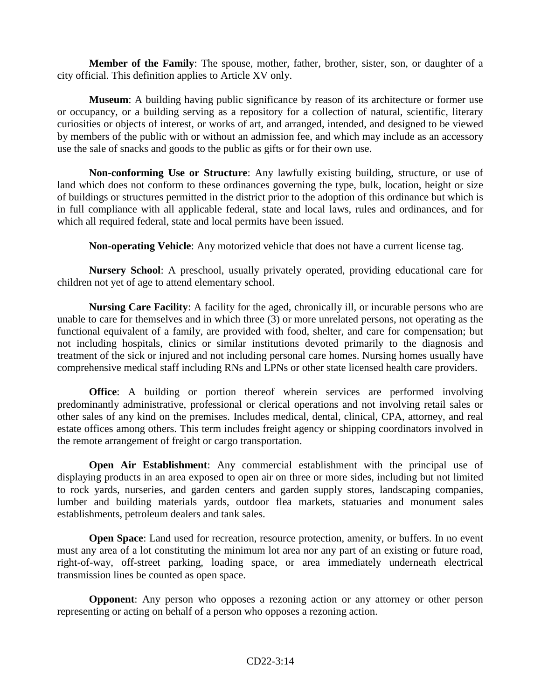**Member of the Family**: The spouse, mother, father, brother, sister, son, or daughter of a city official. This definition applies to Article XV only.

**Museum**: A building having public significance by reason of its architecture or former use or occupancy, or a building serving as a repository for a collection of natural, scientific, literary curiosities or objects of interest, or works of art, and arranged, intended, and designed to be viewed by members of the public with or without an admission fee, and which may include as an accessory use the sale of snacks and goods to the public as gifts or for their own use.

**Non-conforming Use or Structure**: Any lawfully existing building, structure, or use of land which does not conform to these ordinances governing the type, bulk, location, height or size of buildings or structures permitted in the district prior to the adoption of this ordinance but which is in full compliance with all applicable federal, state and local laws, rules and ordinances, and for which all required federal, state and local permits have been issued.

**Non-operating Vehicle**: Any motorized vehicle that does not have a current license tag.

**Nursery School**: A preschool, usually privately operated, providing educational care for children not yet of age to attend elementary school.

**Nursing Care Facility**: A facility for the aged, chronically ill, or incurable persons who are unable to care for themselves and in which three (3) or more unrelated persons, not operating as the functional equivalent of a family, are provided with food, shelter, and care for compensation; but not including hospitals, clinics or similar institutions devoted primarily to the diagnosis and treatment of the sick or injured and not including personal care homes. Nursing homes usually have comprehensive medical staff including RNs and LPNs or other state licensed health care providers.

**Office**: A building or portion thereof wherein services are performed involving predominantly administrative, professional or clerical operations and not involving retail sales or other sales of any kind on the premises. Includes medical, dental, clinical, CPA, attorney, and real estate offices among others. This term includes freight agency or shipping coordinators involved in the remote arrangement of freight or cargo transportation.

**Open Air Establishment**: Any commercial establishment with the principal use of displaying products in an area exposed to open air on three or more sides, including but not limited to rock yards, nurseries, and garden centers and garden supply stores, landscaping companies, lumber and building materials yards, outdoor flea markets, statuaries and monument sales establishments, petroleum dealers and tank sales.

**Open Space**: Land used for recreation, resource protection, amenity, or buffers. In no event must any area of a lot constituting the minimum lot area nor any part of an existing or future road, right-of-way, off-street parking, loading space, or area immediately underneath electrical transmission lines be counted as open space.

**Opponent**: Any person who opposes a rezoning action or any attorney or other person representing or acting on behalf of a person who opposes a rezoning action.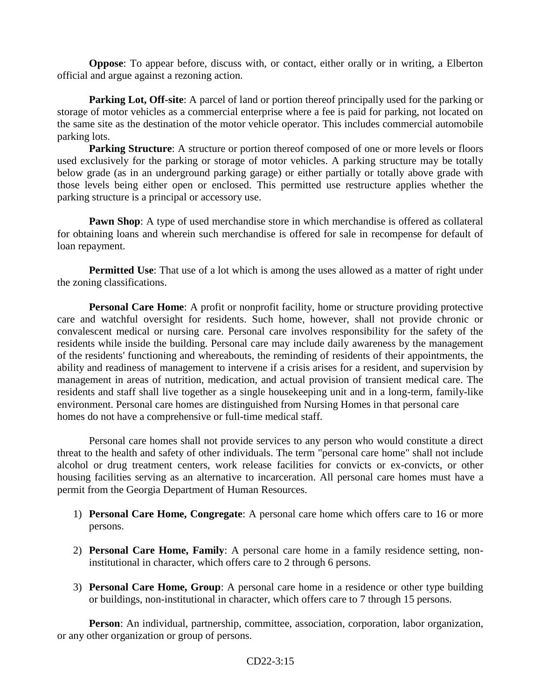**Oppose**: To appear before, discuss with, or contact, either orally or in writing, a Elberton official and argue against a rezoning action.

**Parking Lot, Off-site**: A parcel of land or portion thereof principally used for the parking or storage of motor vehicles as a commercial enterprise where a fee is paid for parking, not located on the same site as the destination of the motor vehicle operator. This includes commercial automobile parking lots.

**Parking Structure**: A structure or portion thereof composed of one or more levels or floors used exclusively for the parking or storage of motor vehicles. A parking structure may be totally below grade (as in an underground parking garage) or either partially or totally above grade with those levels being either open or enclosed. This permitted use restructure applies whether the parking structure is a principal or accessory use.

**Pawn Shop**: A type of used merchandise store in which merchandise is offered as collateral for obtaining loans and wherein such merchandise is offered for sale in recompense for default of loan repayment.

**Permitted Use**: That use of a lot which is among the uses allowed as a matter of right under the zoning classifications.

**Personal Care Home:** A profit or nonprofit facility, home or structure providing protective care and watchful oversight for residents. Such home, however, shall not provide chronic or convalescent medical or nursing care. Personal care involves responsibility for the safety of the residents while inside the building. Personal care may include daily awareness by the management of the residents' functioning and whereabouts, the reminding of residents of their appointments, the ability and readiness of management to intervene if a crisis arises for a resident, and supervision by management in areas of nutrition, medication, and actual provision of transient medical care. The residents and staff shall live together as a single housekeeping unit and in a long-term, family-like environment. Personal care homes are distinguished from Nursing Homes in that personal care homes do not have a comprehensive or full-time medical staff.

Personal care homes shall not provide services to any person who would constitute a direct threat to the health and safety of other individuals. The term "personal care home" shall not include alcohol or drug treatment centers, work release facilities for convicts or ex-convicts, or other housing facilities serving as an alternative to incarceration. All personal care homes must have a permit from the Georgia Department of Human Resources.

- 1) **Personal Care Home, Congregate**: A personal care home which offers care to 16 or more persons.
- 2) **Personal Care Home, Family**: A personal care home in a family residence setting, noninstitutional in character, which offers care to 2 through 6 persons.
- 3) **Personal Care Home, Group**: A personal care home in a residence or other type building or buildings, non-institutional in character, which offers care to 7 through 15 persons.

Person: An individual, partnership, committee, association, corporation, labor organization, or any other organization or group of persons.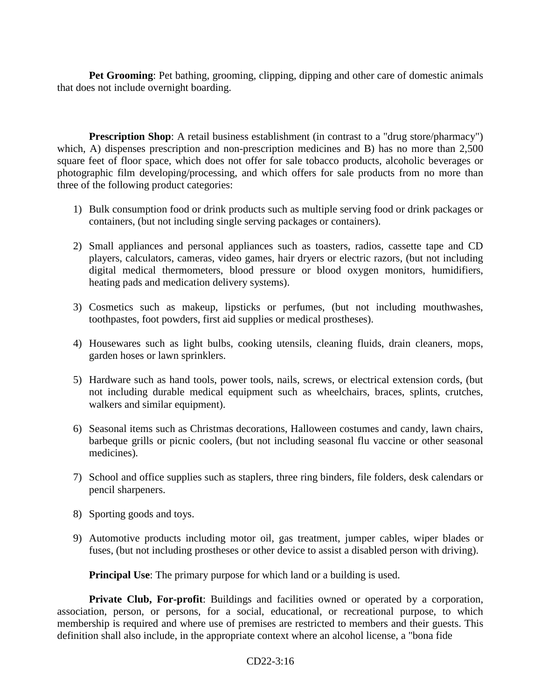**Pet Grooming**: Pet bathing, grooming, clipping, dipping and other care of domestic animals that does not include overnight boarding.

**Prescription Shop**: A retail business establishment (in contrast to a "drug store/pharmacy") which, A) dispenses prescription and non-prescription medicines and B) has no more than 2,500 square feet of floor space, which does not offer for sale tobacco products, alcoholic beverages or photographic film developing/processing, and which offers for sale products from no more than three of the following product categories:

- 1) Bulk consumption food or drink products such as multiple serving food or drink packages or containers, (but not including single serving packages or containers).
- 2) Small appliances and personal appliances such as toasters, radios, cassette tape and CD players, calculators, cameras, video games, hair dryers or electric razors, (but not including digital medical thermometers, blood pressure or blood oxygen monitors, humidifiers, heating pads and medication delivery systems).
- 3) Cosmetics such as makeup, lipsticks or perfumes, (but not including mouthwashes, toothpastes, foot powders, first aid supplies or medical prostheses).
- 4) Housewares such as light bulbs, cooking utensils, cleaning fluids, drain cleaners, mops, garden hoses or lawn sprinklers.
- 5) Hardware such as hand tools, power tools, nails, screws, or electrical extension cords, (but not including durable medical equipment such as wheelchairs, braces, splints, crutches, walkers and similar equipment).
- 6) Seasonal items such as Christmas decorations, Halloween costumes and candy, lawn chairs, barbeque grills or picnic coolers, (but not including seasonal flu vaccine or other seasonal medicines).
- 7) School and office supplies such as staplers, three ring binders, file folders, desk calendars or pencil sharpeners.
- 8) Sporting goods and toys.
- 9) Automotive products including motor oil, gas treatment, jumper cables, wiper blades or fuses, (but not including prostheses or other device to assist a disabled person with driving).

**Principal Use:** The primary purpose for which land or a building is used.

**Private Club, For-profit:** Buildings and facilities owned or operated by a corporation, association, person, or persons, for a social, educational, or recreational purpose, to which membership is required and where use of premises are restricted to members and their guests. This definition shall also include, in the appropriate context where an alcohol license, a "bona fide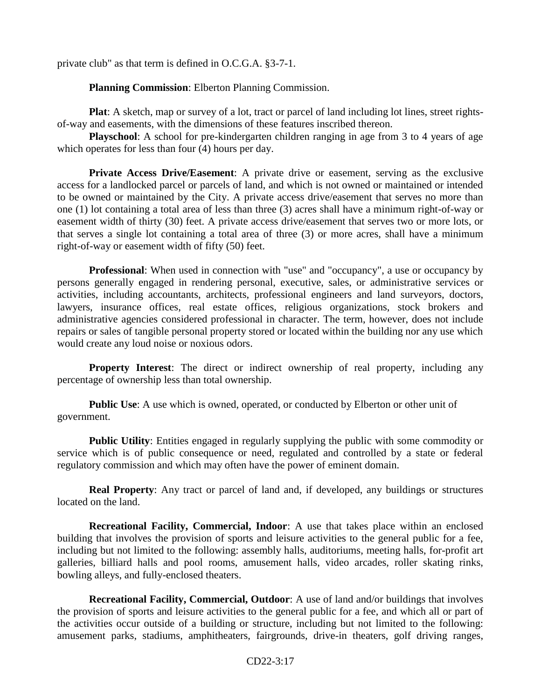private club" as that term is defined in O.C.G.A. §3-7-1.

 **Planning Commission**: Elberton Planning Commission.

**Plat**: A sketch, map or survey of a lot, tract or parcel of land including lot lines, street rightsof-way and easements, with the dimensions of these features inscribed thereon.

**Playschool**: A school for pre-kindergarten children ranging in age from 3 to 4 years of age which operates for less than four (4) hours per day.

**Private Access Drive/Easement:** A private drive or easement, serving as the exclusive access for a landlocked parcel or parcels of land, and which is not owned or maintained or intended to be owned or maintained by the City. A private access drive/easement that serves no more than one (1) lot containing a total area of less than three (3) acres shall have a minimum right-of-way or easement width of thirty (30) feet. A private access drive/easement that serves two or more lots, or that serves a single lot containing a total area of three (3) or more acres, shall have a minimum right-of-way or easement width of fifty (50) feet.

**Professional**: When used in connection with "use" and "occupancy", a use or occupancy by persons generally engaged in rendering personal, executive, sales, or administrative services or activities, including accountants, architects, professional engineers and land surveyors, doctors, lawyers, insurance offices, real estate offices, religious organizations, stock brokers and administrative agencies considered professional in character. The term, however, does not include repairs or sales of tangible personal property stored or located within the building nor any use which would create any loud noise or noxious odors.

**Property Interest**: The direct or indirect ownership of real property, including any percentage of ownership less than total ownership.

**Public Use:** A use which is owned, operated, or conducted by Elberton or other unit of government.

**Public Utility**: Entities engaged in regularly supplying the public with some commodity or service which is of public consequence or need, regulated and controlled by a state or federal regulatory commission and which may often have the power of eminent domain.

**Real Property**: Any tract or parcel of land and, if developed, any buildings or structures located on the land.

**Recreational Facility, Commercial, Indoor**: A use that takes place within an enclosed building that involves the provision of sports and leisure activities to the general public for a fee, including but not limited to the following: assembly halls, auditoriums, meeting halls, for-profit art galleries, billiard halls and pool rooms, amusement halls, video arcades, roller skating rinks, bowling alleys, and fully-enclosed theaters.

**Recreational Facility, Commercial, Outdoor**: A use of land and/or buildings that involves the provision of sports and leisure activities to the general public for a fee, and which all or part of the activities occur outside of a building or structure, including but not limited to the following: amusement parks, stadiums, amphitheaters, fairgrounds, drive-in theaters, golf driving ranges,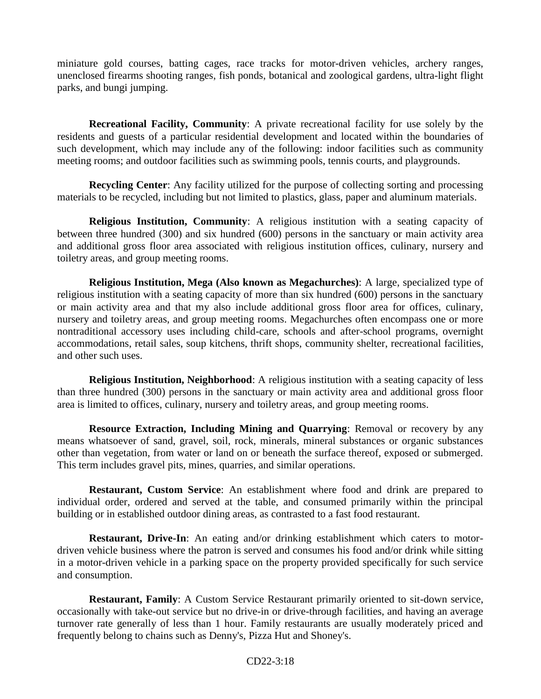miniature gold courses, batting cages, race tracks for motor-driven vehicles, archery ranges, unenclosed firearms shooting ranges, fish ponds, botanical and zoological gardens, ultra-light flight parks, and bungi jumping.

**Recreational Facility, Community**: A private recreational facility for use solely by the residents and guests of a particular residential development and located within the boundaries of such development, which may include any of the following: indoor facilities such as community meeting rooms; and outdoor facilities such as swimming pools, tennis courts, and playgrounds.

**Recycling Center**: Any facility utilized for the purpose of collecting sorting and processing materials to be recycled, including but not limited to plastics, glass, paper and aluminum materials.

**Religious Institution, Community**: A religious institution with a seating capacity of between three hundred (300) and six hundred (600) persons in the sanctuary or main activity area and additional gross floor area associated with religious institution offices, culinary, nursery and toiletry areas, and group meeting rooms.

**Religious Institution, Mega (Also known as Megachurches)**: A large, specialized type of religious institution with a seating capacity of more than six hundred (600) persons in the sanctuary or main activity area and that my also include additional gross floor area for offices, culinary, nursery and toiletry areas, and group meeting rooms. Megachurches often encompass one or more nontraditional accessory uses including child-care, schools and after-school programs, overnight accommodations, retail sales, soup kitchens, thrift shops, community shelter, recreational facilities, and other such uses.

**Religious Institution, Neighborhood**: A religious institution with a seating capacity of less than three hundred (300) persons in the sanctuary or main activity area and additional gross floor area is limited to offices, culinary, nursery and toiletry areas, and group meeting rooms.

**Resource Extraction, Including Mining and Quarrying**: Removal or recovery by any means whatsoever of sand, gravel, soil, rock, minerals, mineral substances or organic substances other than vegetation, from water or land on or beneath the surface thereof, exposed or submerged. This term includes gravel pits, mines, quarries, and similar operations.

**Restaurant, Custom Service**: An establishment where food and drink are prepared to individual order, ordered and served at the table, and consumed primarily within the principal building or in established outdoor dining areas, as contrasted to a fast food restaurant.

**Restaurant, Drive-In**: An eating and/or drinking establishment which caters to motordriven vehicle business where the patron is served and consumes his food and/or drink while sitting in a motor-driven vehicle in a parking space on the property provided specifically for such service and consumption.

**Restaurant, Family**: A Custom Service Restaurant primarily oriented to sit-down service, occasionally with take-out service but no drive-in or drive-through facilities, and having an average turnover rate generally of less than 1 hour. Family restaurants are usually moderately priced and frequently belong to chains such as Denny's, Pizza Hut and Shoney's.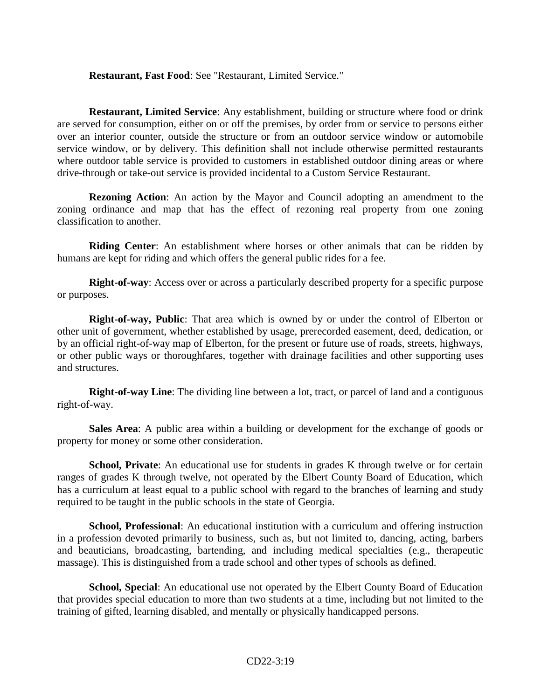#### **Restaurant, Fast Food**: See "Restaurant, Limited Service."

**Restaurant, Limited Service**: Any establishment, building or structure where food or drink are served for consumption, either on or off the premises, by order from or service to persons either over an interior counter, outside the structure or from an outdoor service window or automobile service window, or by delivery. This definition shall not include otherwise permitted restaurants where outdoor table service is provided to customers in established outdoor dining areas or where drive-through or take-out service is provided incidental to a Custom Service Restaurant.

**Rezoning Action**: An action by the Mayor and Council adopting an amendment to the zoning ordinance and map that has the effect of rezoning real property from one zoning classification to another.

**Riding Center**: An establishment where horses or other animals that can be ridden by humans are kept for riding and which offers the general public rides for a fee.

**Right-of-way**: Access over or across a particularly described property for a specific purpose or purposes.

**Right-of-way, Public**: That area which is owned by or under the control of Elberton or other unit of government, whether established by usage, prerecorded easement, deed, dedication, or by an official right-of-way map of Elberton, for the present or future use of roads, streets, highways, or other public ways or thoroughfares, together with drainage facilities and other supporting uses and structures.

**Right-of-way Line**: The dividing line between a lot, tract, or parcel of land and a contiguous right-of-way.

**Sales Area**: A public area within a building or development for the exchange of goods or property for money or some other consideration.

**School, Private**: An educational use for students in grades K through twelve or for certain ranges of grades K through twelve, not operated by the Elbert County Board of Education, which has a curriculum at least equal to a public school with regard to the branches of learning and study required to be taught in the public schools in the state of Georgia.

**School, Professional**: An educational institution with a curriculum and offering instruction in a profession devoted primarily to business, such as, but not limited to, dancing, acting, barbers and beauticians, broadcasting, bartending, and including medical specialties (e.g., therapeutic massage). This is distinguished from a trade school and other types of schools as defined.

**School, Special**: An educational use not operated by the Elbert County Board of Education that provides special education to more than two students at a time, including but not limited to the training of gifted, learning disabled, and mentally or physically handicapped persons.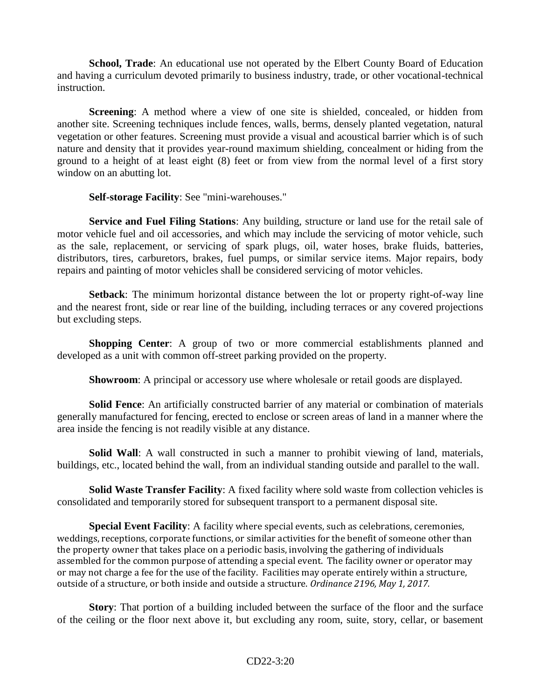**School, Trade**: An educational use not operated by the Elbert County Board of Education and having a curriculum devoted primarily to business industry, trade, or other vocational-technical instruction.

**Screening**: A method where a view of one site is shielded, concealed, or hidden from another site. Screening techniques include fences, walls, berms, densely planted vegetation, natural vegetation or other features. Screening must provide a visual and acoustical barrier which is of such nature and density that it provides year-round maximum shielding, concealment or hiding from the ground to a height of at least eight (8) feet or from view from the normal level of a first story window on an abutting lot.

**Self-storage Facility**: See "mini-warehouses."

**Service and Fuel Filing Stations**: Any building, structure or land use for the retail sale of motor vehicle fuel and oil accessories, and which may include the servicing of motor vehicle, such as the sale, replacement, or servicing of spark plugs, oil, water hoses, brake fluids, batteries, distributors, tires, carburetors, brakes, fuel pumps, or similar service items. Major repairs, body repairs and painting of motor vehicles shall be considered servicing of motor vehicles.

**Setback**: The minimum horizontal distance between the lot or property right-of-way line and the nearest front, side or rear line of the building, including terraces or any covered projections but excluding steps.

**Shopping Center**: A group of two or more commercial establishments planned and developed as a unit with common off-street parking provided on the property.

**Showroom**: A principal or accessory use where wholesale or retail goods are displayed.

**Solid Fence**: An artificially constructed barrier of any material or combination of materials generally manufactured for fencing, erected to enclose or screen areas of land in a manner where the area inside the fencing is not readily visible at any distance.

**Solid Wall**: A wall constructed in such a manner to prohibit viewing of land, materials, buildings, etc., located behind the wall, from an individual standing outside and parallel to the wall.

**Solid Waste Transfer Facility**: A fixed facility where sold waste from collection vehicles is consolidated and temporarily stored for subsequent transport to a permanent disposal site.

**Special Event Facility**: A facility where special events, such as celebrations, ceremonies, weddings, receptions, corporate functions, or similar activities for the benefit of someone other than the property owner that takes place on a periodic basis, involving the gathering of individuals assembled for the common purpose of attending a special event.The facility owner or operator may or may not charge a fee for the use of the facility. Facilities may operate entirely within a structure, outside of a structure, or both inside and outside a structure. *Ordinance 2196, May 1, 2017.*

**Story**: That portion of a building included between the surface of the floor and the surface of the ceiling or the floor next above it, but excluding any room, suite, story, cellar, or basement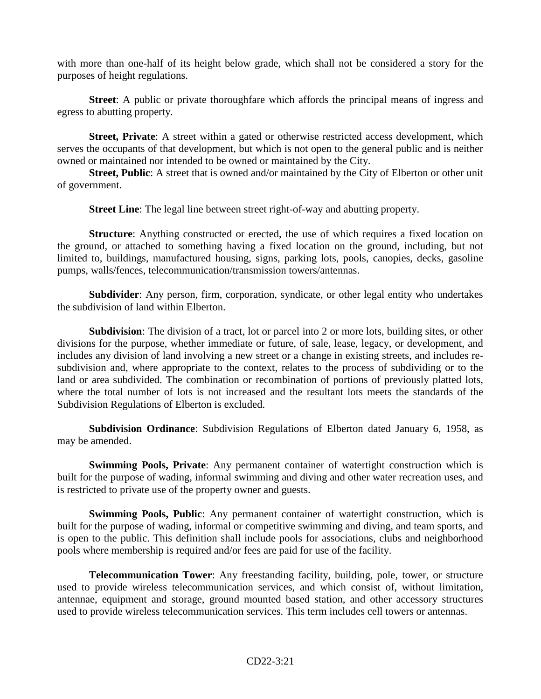with more than one-half of its height below grade, which shall not be considered a story for the purposes of height regulations.

**Street**: A public or private thoroughfare which affords the principal means of ingress and egress to abutting property.

**Street, Private**: A street within a gated or otherwise restricted access development, which serves the occupants of that development, but which is not open to the general public and is neither owned or maintained nor intended to be owned or maintained by the City.

**Street, Public**: A street that is owned and/or maintained by the City of Elberton or other unit of government.

**Street Line**: The legal line between street right-of-way and abutting property.

**Structure**: Anything constructed or erected, the use of which requires a fixed location on the ground, or attached to something having a fixed location on the ground, including, but not limited to, buildings, manufactured housing, signs, parking lots, pools, canopies, decks, gasoline pumps, walls/fences, telecommunication/transmission towers/antennas.

**Subdivider**: Any person, firm, corporation, syndicate, or other legal entity who undertakes the subdivision of land within Elberton.

**Subdivision**: The division of a tract, lot or parcel into 2 or more lots, building sites, or other divisions for the purpose, whether immediate or future, of sale, lease, legacy, or development, and includes any division of land involving a new street or a change in existing streets, and includes resubdivision and, where appropriate to the context, relates to the process of subdividing or to the land or area subdivided. The combination or recombination of portions of previously platted lots, where the total number of lots is not increased and the resultant lots meets the standards of the Subdivision Regulations of Elberton is excluded.

**Subdivision Ordinance**: Subdivision Regulations of Elberton dated January 6, 1958, as may be amended.

**Swimming Pools, Private**: Any permanent container of watertight construction which is built for the purpose of wading, informal swimming and diving and other water recreation uses, and is restricted to private use of the property owner and guests.

**Swimming Pools, Public**: Any permanent container of watertight construction, which is built for the purpose of wading, informal or competitive swimming and diving, and team sports, and is open to the public. This definition shall include pools for associations, clubs and neighborhood pools where membership is required and/or fees are paid for use of the facility.

**Telecommunication Tower**: Any freestanding facility, building, pole, tower, or structure used to provide wireless telecommunication services, and which consist of, without limitation, antennae, equipment and storage, ground mounted based station, and other accessory structures used to provide wireless telecommunication services. This term includes cell towers or antennas.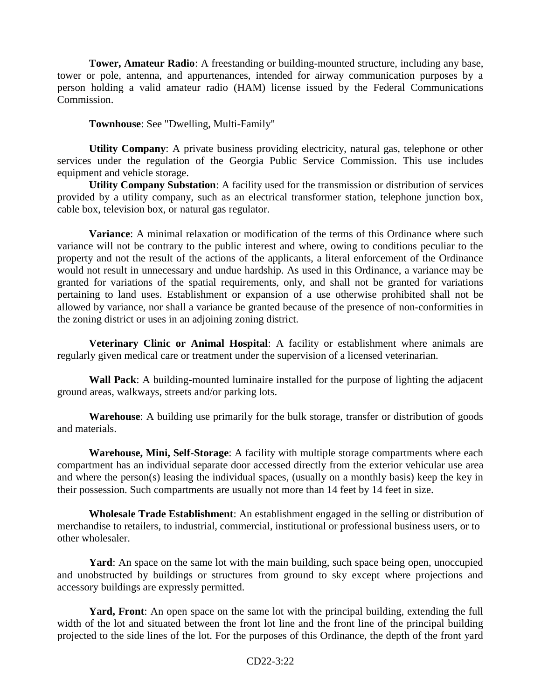**Tower, Amateur Radio**: A freestanding or building-mounted structure, including any base, tower or pole, antenna, and appurtenances, intended for airway communication purposes by a person holding a valid amateur radio (HAM) license issued by the Federal Communications Commission.

**Townhouse**: See "Dwelling, Multi-Family"

**Utility Company**: A private business providing electricity, natural gas, telephone or other services under the regulation of the Georgia Public Service Commission. This use includes equipment and vehicle storage.

**Utility Company Substation**: A facility used for the transmission or distribution of services provided by a utility company, such as an electrical transformer station, telephone junction box, cable box, television box, or natural gas regulator.

**Variance**: A minimal relaxation or modification of the terms of this Ordinance where such variance will not be contrary to the public interest and where, owing to conditions peculiar to the property and not the result of the actions of the applicants, a literal enforcement of the Ordinance would not result in unnecessary and undue hardship. As used in this Ordinance, a variance may be granted for variations of the spatial requirements, only, and shall not be granted for variations pertaining to land uses. Establishment or expansion of a use otherwise prohibited shall not be allowed by variance, nor shall a variance be granted because of the presence of non-conformities in the zoning district or uses in an adjoining zoning district.

**Veterinary Clinic or Animal Hospital**: A facility or establishment where animals are regularly given medical care or treatment under the supervision of a licensed veterinarian.

**Wall Pack**: A building-mounted luminaire installed for the purpose of lighting the adjacent ground areas, walkways, streets and/or parking lots.

**Warehouse**: A building use primarily for the bulk storage, transfer or distribution of goods and materials.

**Warehouse, Mini, Self-Storage**: A facility with multiple storage compartments where each compartment has an individual separate door accessed directly from the exterior vehicular use area and where the person(s) leasing the individual spaces, (usually on a monthly basis) keep the key in their possession. Such compartments are usually not more than 14 feet by 14 feet in size.

**Wholesale Trade Establishment**: An establishment engaged in the selling or distribution of merchandise to retailers, to industrial, commercial, institutional or professional business users, or to other wholesaler.

Yard: An space on the same lot with the main building, such space being open, unoccupied and unobstructed by buildings or structures from ground to sky except where projections and accessory buildings are expressly permitted.

Yard, Front: An open space on the same lot with the principal building, extending the full width of the lot and situated between the front lot line and the front line of the principal building projected to the side lines of the lot. For the purposes of this Ordinance, the depth of the front yard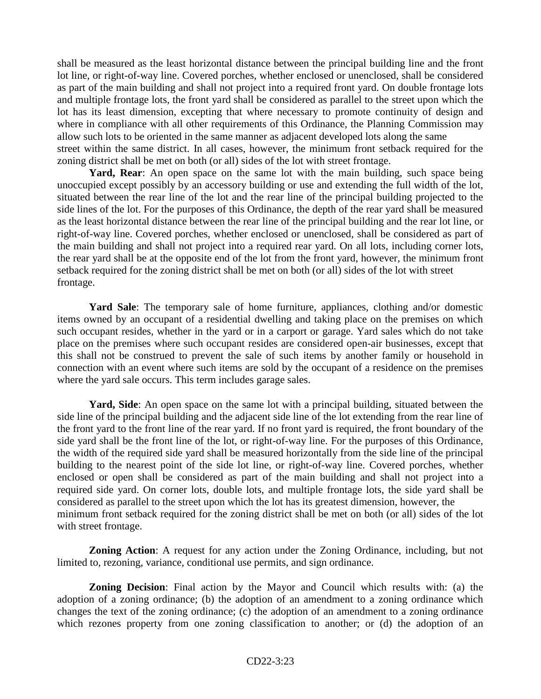shall be measured as the least horizontal distance between the principal building line and the front lot line, or right-of-way line. Covered porches, whether enclosed or unenclosed, shall be considered as part of the main building and shall not project into a required front yard. On double frontage lots and multiple frontage lots, the front yard shall be considered as parallel to the street upon which the lot has its least dimension, excepting that where necessary to promote continuity of design and where in compliance with all other requirements of this Ordinance, the Planning Commission may allow such lots to be oriented in the same manner as adjacent developed lots along the same street within the same district. In all cases, however, the minimum front setback required for the zoning district shall be met on both (or all) sides of the lot with street frontage.

Yard, Rear: An open space on the same lot with the main building, such space being unoccupied except possibly by an accessory building or use and extending the full width of the lot, situated between the rear line of the lot and the rear line of the principal building projected to the side lines of the lot. For the purposes of this Ordinance, the depth of the rear yard shall be measured as the least horizontal distance between the rear line of the principal building and the rear lot line, or right-of-way line. Covered porches, whether enclosed or unenclosed, shall be considered as part of the main building and shall not project into a required rear yard. On all lots, including corner lots, the rear yard shall be at the opposite end of the lot from the front yard, however, the minimum front setback required for the zoning district shall be met on both (or all) sides of the lot with street frontage.

Yard Sale: The temporary sale of home furniture, appliances, clothing and/or domestic items owned by an occupant of a residential dwelling and taking place on the premises on which such occupant resides, whether in the yard or in a carport or garage. Yard sales which do not take place on the premises where such occupant resides are considered open-air businesses, except that this shall not be construed to prevent the sale of such items by another family or household in connection with an event where such items are sold by the occupant of a residence on the premises where the yard sale occurs. This term includes garage sales.

**Yard, Side**: An open space on the same lot with a principal building, situated between the side line of the principal building and the adjacent side line of the lot extending from the rear line of the front yard to the front line of the rear yard. If no front yard is required, the front boundary of the side yard shall be the front line of the lot, or right-of-way line. For the purposes of this Ordinance, the width of the required side yard shall be measured horizontally from the side line of the principal building to the nearest point of the side lot line, or right-of-way line. Covered porches, whether enclosed or open shall be considered as part of the main building and shall not project into a required side yard. On corner lots, double lots, and multiple frontage lots, the side yard shall be considered as parallel to the street upon which the lot has its greatest dimension, however, the minimum front setback required for the zoning district shall be met on both (or all) sides of the lot with street frontage.

**Zoning Action**: A request for any action under the Zoning Ordinance, including, but not limited to, rezoning, variance, conditional use permits, and sign ordinance.

**Zoning Decision**: Final action by the Mayor and Council which results with: (a) the adoption of a zoning ordinance; (b) the adoption of an amendment to a zoning ordinance which changes the text of the zoning ordinance; (c) the adoption of an amendment to a zoning ordinance which rezones property from one zoning classification to another; or (d) the adoption of an